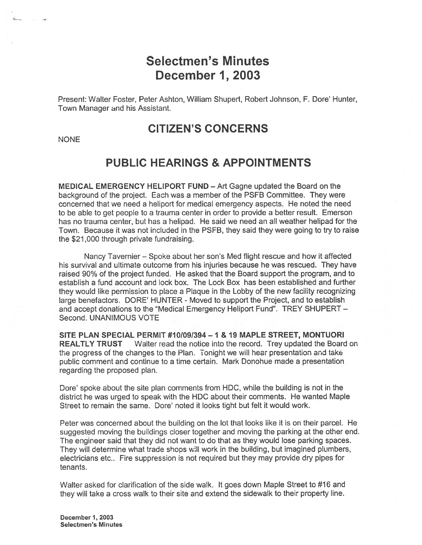# Selectmen's Minutes December 1, 2003

Present: Walter Foster, Peter Ashton, William Shupert, Robert Johnson. F. Dore' Hunter, Town Manager and his Assistant.

# CITIZEN'S CONCERNS

NONE

# PUBLIC HEARINGS & APPOINTMENTS

MEDICAL EMERGENCY HELIPORT FUND — Art Gagne updated the Board on the background of the project. Each was <sup>a</sup> member of the PSFB Committee. They were concerned that we need <sup>a</sup> heliport for medical emergency aspects. He noted the need to be able to ge<sup>t</sup> people to <sup>a</sup> trauma center in order to provide <sup>a</sup> better result. Emerson has no trauma center, but has <sup>a</sup> helipad. He said we need an all weather helipad for the Town. Because it was not included in the PSFB, they said they were going to try to raise the \$21 ,000 through private fundraising.

Nancy Tavernier – Spoke about her son's Med flight rescue and how it affected his survival and ultimate outcome from his injuries because he was rescued. They have raised 90% of the project funded. He asked that the Board suppor<sup>t</sup> the program, and to establish <sup>a</sup> fund account and lock box. The Lock Box has been established and further they would like permission to place <sup>a</sup> Plaque in the Lobby of the new facility recognizing large benefactors. DORE' HUNTER - Moved to suppor<sup>t</sup> the Project, and to establish and accept donations to the "Medical Emergency Heliport Fund". TREY SHUPERT -Second. UNANIMOUS VOTE

SITE PLAN SPECIAL PERMIT #101091394—1 & 19 MAPLE STREET, MONTUORI REALTLY TRUST Walter read the notice into the record. Trey updated the Board on the progress of the changes to the Plan. Tonight we will heat presentation and take public comment and continue to <sup>a</sup> time certain. Mark Donohue made <sup>a</sup> presentation regarding the proposed plan.

Dore' spoke about the site plan comments from HDC, while the building is not in the district he was urged to speak with the HDC about their comments. He wanted Maple Street to remain the same. Dore' noted it looks tight but felt it would work.

Peter was concerned about the building on the lot that looks like it is on their parcel. He suggested moving the buildings closer together and moving the parking at the other end. The engineer said that they did not want to do that as they would lose parking spaces. They will determine what trade shops will work in the building, but imagined plumbers, electricians etc.. Fire suppression is not required but they may provide dry pipes for tenants.

Walter asked for clarification of the side walk. It goes down Maple Street to #16 and they will take <sup>a</sup> cross walk to their site and extend the sidewalk to their property line.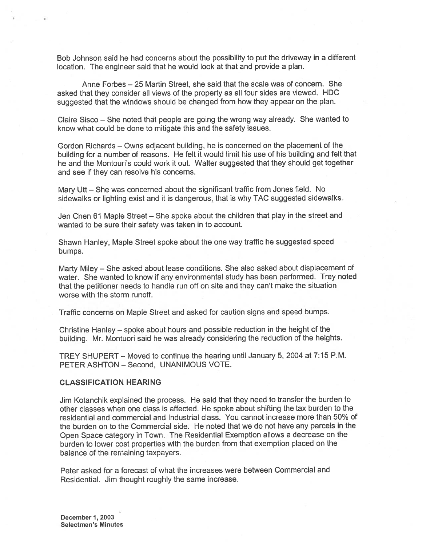Bob Johnson said he had concerns about the possibility to pu<sup>t</sup> the driveway in <sup>a</sup> different location. The engineer said that he would look at that and provide <sup>a</sup> plan.

Anne Forbes — 25 Martin Street, she said that the scale was of concern. She asked that they consider all views of the property as all four sides are viewed. HDC suggested that the windows should be changed from how they appear on the <sup>p</sup>lan.

Claire Sisco — She noted that people are going the wrong way already. She wanted to know what could be done to mitigate this and the safety issues.

Gordon Richards — Owns adjacent building, he is concerned on the <sup>p</sup>lacement of the building for <sup>a</sup> number of reasons. He felt it would limit his use of his building and felt that he and the Montouri's could work it out. Walter suggested that they should ge<sup>t</sup> together and see if they can resolve his concerns.

Mary Utt — She was concerned about the significant traffic from Jones field. No sidewalks or lighting exist and it is dangerous, that is why TAC suggested sidewalks

Jen Chen 61 Maple Street — She spoke about the children that <sup>p</sup>lay in the street and wanted to be sure their safety was taken in to account.

Shawn Hanley, Maple Street spoke about the one way traffic he suggested speed bumps.

Marty Miley — She asked about lease conditions. She also asked about displacement of water. She wanted to know if any environmental study has been performed. Trey noted that the petitioner needs to handle run off on site and they can't make the situation worse with the storm runoff.

Traffic concerns on Maple Street and asked for caution signs and speed bumps.

Christine Hanley — spoke about hours and possible reduction in the height of the building. Mr. Montuori said he was already considering the reduction of the heights.

TREY SHUPERT— Moved to continue the hearing until January 5,2004 at 7:15 P.M. PETER ASHTON — Second, UNANIMOUS VOTE.

#### CLASSIFICATION HEARING

Jim Kotanchik explained the process. He said that they need to transfer the burden to other classes when one class is affected. He spoke about shifting the tax burden to the residential and commercial and Industrial class. You cannot increase more than 50% of the burden on to the Commercial side. He noted that we do not have any parcels in the Open Space category in Town. The Residential Exemption allows <sup>a</sup> decrease on the burden to lower cost properties with the burden from that exemption <sup>p</sup>laced on the balance of the remaining taxpayers.

Peter asked for <sup>a</sup> forecast of what the increases were between Commercial and Residential. Jim thought toughly the same increase.

December 1, 2003 Selectmen's Minutes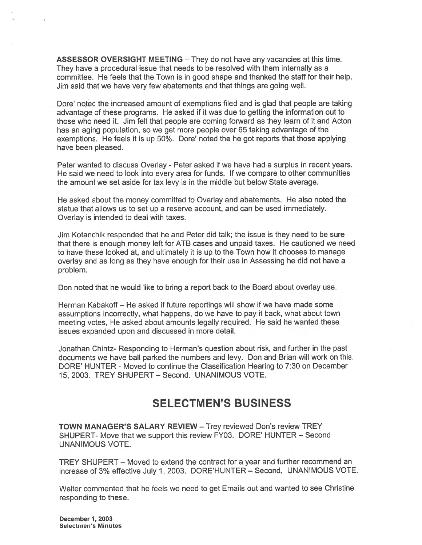ASSESSOR OVERSIGHT MEETING — They do not have any vacancies at this time. They have <sup>a</sup> procedural issue that needs to be resolved with them internally as <sup>a</sup> committee. He feels that the Town is in good shape and thanked the staff for their help. Jim said that we have very few abatements and that things are going well.

Dore' noted the increased amount of exemptions filed and is glad that people are taking advantage of these programs. He asked if it was due to getting the information out to those who need it. Jim felt that people are coming forward as they learn of it and Acton has an aging population, so we ge<sup>t</sup> more people over 65 taking advantage of the exemptions. He feels it is up 50%. Dore' noted the he go<sup>t</sup> reports that those applying have been pleased.

Peter wanted to discuss Overlay - Peter asked if we have had a surplus in recent years. He said we need to look into every area for funds. If we compare to other communities the amount we set aside for tax levy is in the middle but below State average.

He asked about the money committed to Overlay and abatements. He also noted the statue that allows us to set up <sup>a</sup> reserve account, and can be used immediately. Overlay is intended to deal with taxes.

Jim Kotanchik responded that he and Peter did talk; the issue is they need to be sure that there is enough money left for ATB cases and unpaid taxes. He cautioned we need to have these looked at, and ultimately it is up to the Town how it chooses to manage overlay and as long as they have enough for their use in Assessing he did not have <sup>a</sup> problem.

Don noted that he would like to bring <sup>a</sup> repor<sup>t</sup> back to the Board about overlay use.

Herman Kabakoff — He asked if future reportings will show if we have made some assumptions incorrectly, what happens, do we have to pay it back, what about town meeting votes, He asked about amounts legally required. He said he wanted these issues expanded upon and discussed in more detail.

Jonathan Chintz- Responding to Herman's question about risk, and further in the pas<sup>t</sup> documents we have ball parked the numbers and levy. Don and Brian will work on this. DORE' HUNTER - Moved to continue the Classification Hearing to 7:30 on December 15, 2003. TREY SHUPERT — Second. UNANIMOUS VOTE.

# SELECTMEN'S BUSINESS

TOWN MANAGER'S SALARY REVIEW — Trey reviewed Don's review TREY SHUPERT- Move that we suppor<sup>t</sup> this review FY03. DORE' HUNTER — Second UNANIMOUS VOTE.

TREY SHUPERT — Moved to extend the contract for <sup>a</sup> year and further recommend an increase of 3% effective July 1, 2003. DORE'HUNTER — Second, UNANIMOUS VOTE.

Walter commented that he feels we need to ge<sup>t</sup> Emails out and wanted to see Christine responding to these.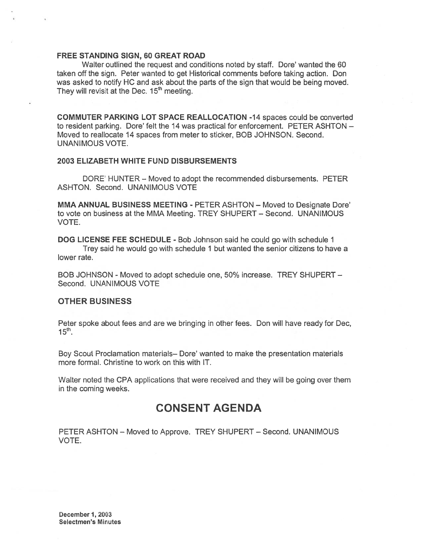#### FREE STANDING SIGN, 60 GREAT ROAD

Walter outlined the reques<sup>t</sup> and conditions noted by staff. Dore' wanted the 60 taken off the sign. Peter wanted to ge<sup>t</sup> Historical comments before taking action. Don was asked to notify HC and ask about the parts of the sign that would be being moved. They will revisit at the Dec.  $15<sup>th</sup>$  meeting.

COMMUTER PARKING LOT SPACE REALLOCATION -14 spaces could be converted to resident parking. Dore' felt the 14 was practical for enforcement. PETER ASHTON -Moved to reallocate 14 spaces from meter to sticker, BOB JOHNSON. Second. UNANIMOUS VOTE.

#### 2003 ELIZABETH WHITE FUND DISBURSEMENTS

DORE' HUNTER — Moved to adopt the recommended disbursements. PETER ASHTON. Second. UNANIMOUS VOTE

MMA ANNUAL BUSINESS MEETING - PETER ASHTON — Moved to Designate Dote' to vote on business at the MMA Meeting. TREY SHUPERT — Second. UNANIMOUS VOTE.

DOG LICENSE FEE SCHEDULE - Bob Johnson said he could go with schedule 1 Trey said he would go with schedule 1 but wanted the senior citizens to have <sup>a</sup> lower rate.

BOB JOHNSON - Moved to adopt schedule one, 50% increase. TREY SHUPERT — Second. UNANIMOUS VOTE

#### OTHER BUSINESS

Peter spoke about fees and are we bringing in other fees. Don will have ready for Dec,  $15<sup>th</sup>$ .

Boy Scout Proclamation materials— Dote' wanted to make the presentation materials more formal. Christine to work on this with IT.

Walter noted the CPA applications that were received and they will be going over them in the coming weeks.

## CONSENT AGENDA

PETER ASHTON — Moved to Approve. TREY SHUPERT — Second. UNANIMOUS VOTE.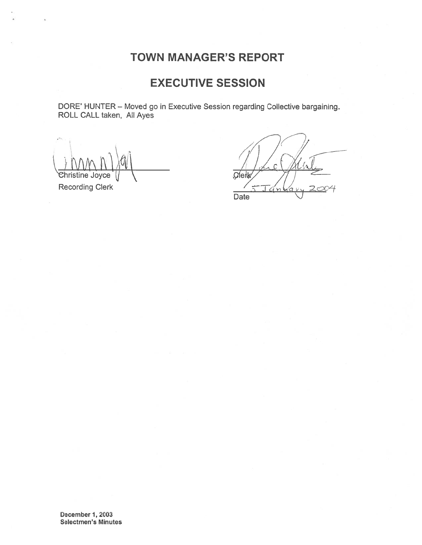# TOWN MANAGER'S REPORT

# EXECUTIVE SESSION

DORE' HUNTER — Moved go in Executive Session regarding Collective bargaining. ROLL CALL taken, All Ayes

 $\frac{1}{10}$ <br>Phristine Joyce  $\frac{1}{10}$ 

Recording Clerk

Date

December 1, 2003 Selectmen's Minutes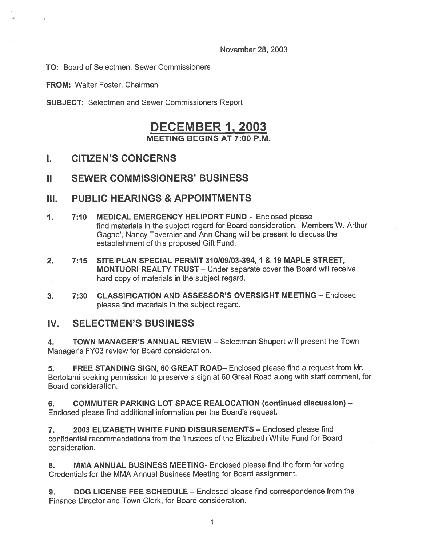November 28, 2003

TO: Board of Selectmen, Sewer Commissioners

FROM: Walter Foster, Chairman

SUBJECT: Selectmen and Sewer Commissioners Report

# DECEMBER 1, 2003 MEETING BEGINS AT 7:00 P.M.

## I. CITIZEN'S CONCERNS

## II SEWER COMMISSIONERS' BUSINESS

## III. PUBLIC HEARINGS & APPOINTMENTS

- 1. 7:10 MEDICAL EMERGENCY HELIPORT FUND Enclosed please find materials in the subject regard for Board consideration. Members W. Arthur Gagne', Nancy Tavernier and Ann Chang will be presen<sup>t</sup> to discuss the establishment of this proposed Gift Fund.
- 2. 7:15 SITE PLAN SPECIAL PERMIT 310109103-394, 1 & 19 MAPLE STREET, MONTUORI REALTY TRUST — Under separate cover the Board will receive hard copy of materials in the subject regard.
- 3. 7:30 CLASSIFICATION AND ASSESSOR'S OVERSIGHT MEETING Enclosed please find materials in the subject regard.

## IV. SELECTMEN'S BUSINESS

4. TOWN MANAGER'S ANNUAL REVIEW - Selectman Shupert will present the Town Manager's FY03 review for Board consideration.

5. FREE STANDING SIGN, 60 GREAT ROAD— Enclosed please find <sup>a</sup> reques<sup>t</sup> from Mr. Bertolami seeking permission to preserve <sup>a</sup> sign at <sup>60</sup> Great Road along with staff comment, for Board consideration.

6. COMMUTER PARKING LOT SPACE REALOCATION (continued discussion) — Enclosed please find additional information per the Board's request.

7. 2003 ELIZABETH WHITE FUND DISBURSEMENTS — Enclosed please find confidential recommendations from the Trustees of the Elizabeth White Fund for Board consideration.

8. MMA ANNUAL BUSINESS MEETING- Enclosed please find the form for voting Credentials for the MMA Annual Business Meeting for Board assignment.

9. DOG LICENSE FEE SCHEDULE – Enclosed please find correspondence from the Finance Director and Town Clerk, for Board consideration.